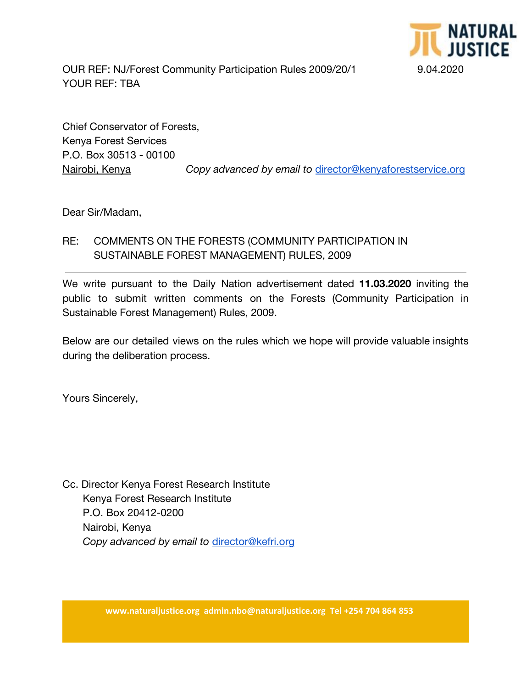

OUR REF: NJ/Forest Community Participation Rules 2009/20/1 9.04.2020 YOUR REF: TBA

Chief Conservator of Forests, Kenya Forest Services P.O. Box 30513 - 00100

Nairobi, Kenya *Copy advanced by email to* [director@kenyaforestservice.org](mailto:director@kenyaforestservice.org)

Dear Sir/Madam,

## RE: COMMENTS ON THE FORESTS (COMMUNITY PARTICIPATION IN SUSTAINABLE FOREST MANAGEMENT) RULES, 2009

We write pursuant to the Daily Nation advertisement dated **11.03.2020** inviting the public to submit written comments on the Forests (Community Participation in Sustainable Forest Management) Rules, 2009.

Below are our detailed views on the rules which we hope will provide valuable insights during the deliberation process.

Yours Sincerely,

Cc. Director Kenya Forest Research Institute Kenya Forest Research Institute P.O. Box 20412-0200 Nairobi, Kenya  *Copy advanced by email to* [director@kefri.org](mailto:director@kefri.org)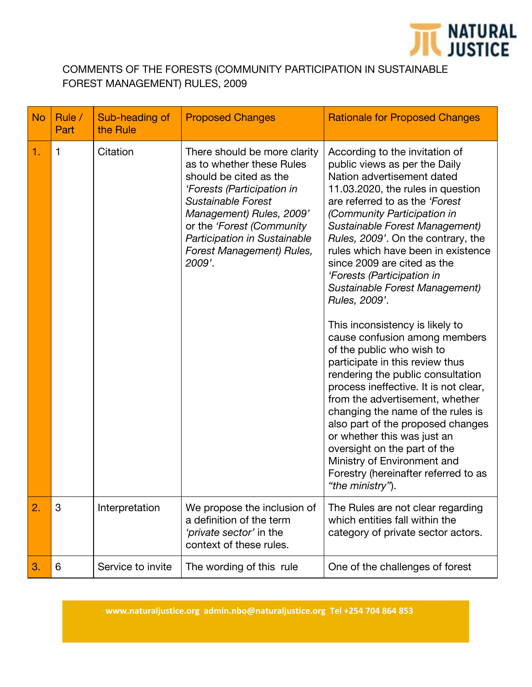

## COMMENTS OF THE FORESTS (COMMUNITY PARTICIPATION IN SUSTAINABLE FOREST MANAGEMENT) RULES, 2009

| <b>No</b> | Rule /<br>Part | Sub-heading of<br>the Rule | <b>Proposed Changes</b>                                                                                                                                                                                                                                                 | <b>Rationale for Proposed Changes</b>                                                                                                                                                                                                                                                                                                                                                                                                                                                                                                                                                                                                                                                                                                                                                                                                                                                                                      |
|-----------|----------------|----------------------------|-------------------------------------------------------------------------------------------------------------------------------------------------------------------------------------------------------------------------------------------------------------------------|----------------------------------------------------------------------------------------------------------------------------------------------------------------------------------------------------------------------------------------------------------------------------------------------------------------------------------------------------------------------------------------------------------------------------------------------------------------------------------------------------------------------------------------------------------------------------------------------------------------------------------------------------------------------------------------------------------------------------------------------------------------------------------------------------------------------------------------------------------------------------------------------------------------------------|
| 1.        | 1              | Citation                   | There should be more clarity<br>as to whether these Rules<br>should be cited as the<br>'Forests (Participation in<br>Sustainable Forest<br>Management) Rules, 2009'<br>or the 'Forest (Community<br>Participation in Sustainable<br>Forest Management) Rules,<br>2009'. | According to the invitation of<br>public views as per the Daily<br>Nation advertisement dated<br>11.03.2020, the rules in question<br>are referred to as the 'Forest<br>(Community Participation in<br>Sustainable Forest Management)<br>Rules, 2009'. On the contrary, the<br>rules which have been in existence<br>since 2009 are cited as the<br>'Forests (Participation in<br>Sustainable Forest Management)<br>Rules, 2009'.<br>This inconsistency is likely to<br>cause confusion among members<br>of the public who wish to<br>participate in this review thus<br>rendering the public consultation<br>process ineffective. It is not clear,<br>from the advertisement, whether<br>changing the name of the rules is<br>also part of the proposed changes<br>or whether this was just an<br>oversight on the part of the<br>Ministry of Environment and<br>Forestry (hereinafter referred to as<br>"the ministry"). |
| 2.        | 3              | Interpretation             | We propose the inclusion of<br>a definition of the term<br>'private sector' in the<br>context of these rules.                                                                                                                                                           | The Rules are not clear regarding<br>which entities fall within the<br>category of private sector actors.                                                                                                                                                                                                                                                                                                                                                                                                                                                                                                                                                                                                                                                                                                                                                                                                                  |
| 3.        | 6              | Service to invite          | The wording of this rule                                                                                                                                                                                                                                                | One of the challenges of forest                                                                                                                                                                                                                                                                                                                                                                                                                                                                                                                                                                                                                                                                                                                                                                                                                                                                                            |

**www.naturaljustice.org admin.nbo@naturaljustice.org Tel +254 704 864 853**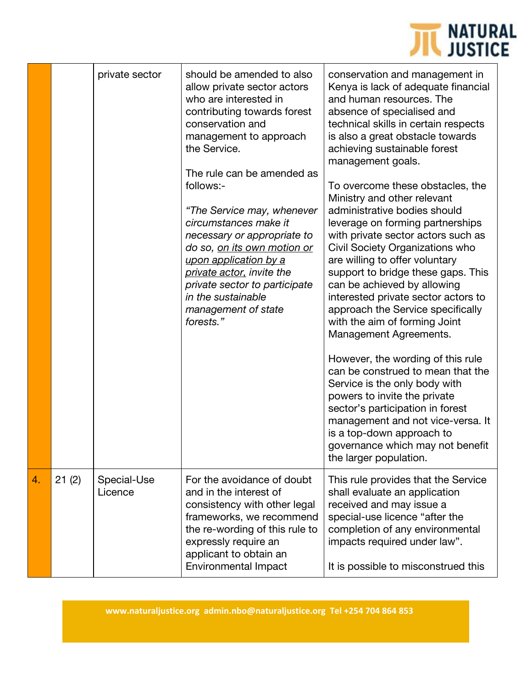

|    |       | private sector         | should be amended to also<br>allow private sector actors<br>who are interested in<br>contributing towards forest<br>conservation and<br>management to approach<br>the Service.<br>The rule can be amended as<br>follows:-<br>"The Service may, whenever<br>circumstances make it<br>necessary or appropriate to<br>do so, <u>on its own motion or</u><br>upon application by a<br>private actor, invite the<br>private sector to participate<br>in the sustainable<br>management of state<br>forests." | conservation and management in<br>Kenya is lack of adequate financial<br>and human resources. The<br>absence of specialised and<br>technical skills in certain respects<br>is also a great obstacle towards<br>achieving sustainable forest<br>management goals.<br>To overcome these obstacles, the<br>Ministry and other relevant<br>administrative bodies should<br>leverage on forming partnerships<br>with private sector actors such as<br>Civil Society Organizations who<br>are willing to offer voluntary<br>support to bridge these gaps. This<br>can be achieved by allowing<br>interested private sector actors to<br>approach the Service specifically<br>with the aim of forming Joint<br>Management Agreements.<br>However, the wording of this rule<br>can be construed to mean that the<br>Service is the only body with<br>powers to invite the private<br>sector's participation in forest<br>management and not vice-versa. It<br>is a top-down approach to<br>governance which may not benefit<br>the larger population. |
|----|-------|------------------------|--------------------------------------------------------------------------------------------------------------------------------------------------------------------------------------------------------------------------------------------------------------------------------------------------------------------------------------------------------------------------------------------------------------------------------------------------------------------------------------------------------|-----------------------------------------------------------------------------------------------------------------------------------------------------------------------------------------------------------------------------------------------------------------------------------------------------------------------------------------------------------------------------------------------------------------------------------------------------------------------------------------------------------------------------------------------------------------------------------------------------------------------------------------------------------------------------------------------------------------------------------------------------------------------------------------------------------------------------------------------------------------------------------------------------------------------------------------------------------------------------------------------------------------------------------------------|
| 4. | 21(2) | Special-Use<br>Licence | For the avoidance of doubt<br>and in the interest of<br>consistency with other legal<br>frameworks, we recommend<br>the re-wording of this rule to<br>expressly require an<br>applicant to obtain an<br><b>Environmental Impact</b>                                                                                                                                                                                                                                                                    | This rule provides that the Service<br>shall evaluate an application<br>received and may issue a<br>special-use licence "after the<br>completion of any environmental<br>impacts required under law".<br>It is possible to misconstrued this                                                                                                                                                                                                                                                                                                                                                                                                                                                                                                                                                                                                                                                                                                                                                                                                  |

**www.naturaljustice.org admin.nbo@naturaljustice.org Tel +254 704 864 853**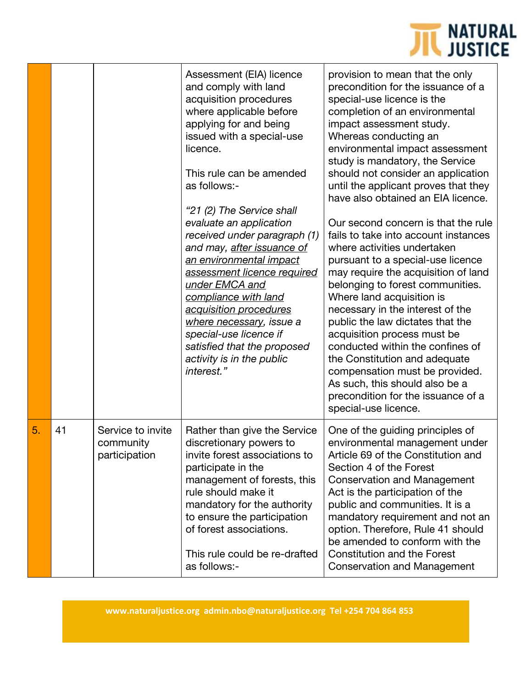

|    |    |                                                 | Assessment (EIA) licence<br>and comply with land<br>acquisition procedures<br>where applicable before<br>applying for and being<br>issued with a special-use<br>licence.<br>This rule can be amended<br>as follows:-<br>"21 (2) The Service shall<br>evaluate an application<br>received under paragraph (1)<br>and may, after issuance of<br>an environmental impact<br>assessment licence required<br>under EMCA and<br>compliance with land<br>acquisition procedures<br>where necessary, issue a<br>special-use licence if<br>satisfied that the proposed<br>activity is in the public<br>interest." | provision to mean that the only<br>precondition for the issuance of a<br>special-use licence is the<br>completion of an environmental<br>impact assessment study.<br>Whereas conducting an<br>environmental impact assessment<br>study is mandatory, the Service<br>should not consider an application<br>until the applicant proves that they<br>have also obtained an EIA licence.<br>Our second concern is that the rule<br>fails to take into account instances<br>where activities undertaken<br>pursuant to a special-use licence<br>may require the acquisition of land<br>belonging to forest communities.<br>Where land acquisition is<br>necessary in the interest of the<br>public the law dictates that the<br>acquisition process must be<br>conducted within the confines of<br>the Constitution and adequate<br>compensation must be provided.<br>As such, this should also be a<br>precondition for the issuance of a<br>special-use licence. |
|----|----|-------------------------------------------------|----------------------------------------------------------------------------------------------------------------------------------------------------------------------------------------------------------------------------------------------------------------------------------------------------------------------------------------------------------------------------------------------------------------------------------------------------------------------------------------------------------------------------------------------------------------------------------------------------------|---------------------------------------------------------------------------------------------------------------------------------------------------------------------------------------------------------------------------------------------------------------------------------------------------------------------------------------------------------------------------------------------------------------------------------------------------------------------------------------------------------------------------------------------------------------------------------------------------------------------------------------------------------------------------------------------------------------------------------------------------------------------------------------------------------------------------------------------------------------------------------------------------------------------------------------------------------------|
| 5. | 41 | Service to invite<br>community<br>participation | Rather than give the Service<br>discretionary powers to<br>invite forest associations to<br>participate in the<br>management of forests, this<br>rule should make it<br>mandatory for the authority<br>to ensure the participation<br>of forest associations.<br>This rule could be re-drafted<br>as follows:-                                                                                                                                                                                                                                                                                           | One of the guiding principles of<br>environmental management under<br>Article 69 of the Constitution and<br>Section 4 of the Forest<br><b>Conservation and Management</b><br>Act is the participation of the<br>public and communities. It is a<br>mandatory requirement and not an<br>option. Therefore, Rule 41 should<br>be amended to conform with the<br><b>Constitution and the Forest</b><br>Conservation and Management                                                                                                                                                                                                                                                                                                                                                                                                                                                                                                                               |